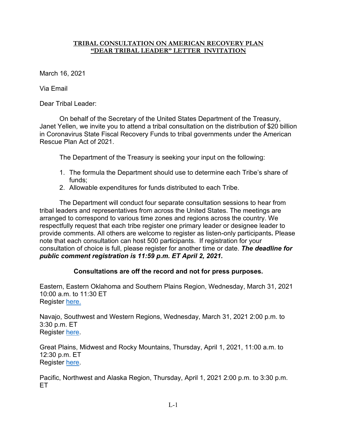## **TRIBAL CONSULTATION ON AMERICAN RECOVERY PLAN "DEAR TRIBAL LEADER" LETTER INVITATION**

March 16, 2021

Via Email

Dear Tribal Leader:

On behalf of the Secretary of the United States Department of the Treasury, Janet Yellen, we invite you to attend a tribal consultation on the distribution of \$20 billion in Coronavirus State Fiscal Recovery Funds to tribal governments under the American Rescue Plan Act of 2021.

The Department of the Treasury is seeking your input on the following:

- 1. The formula the Department should use to determine each Tribe's share of funds;
- 2. Allowable expenditures for funds distributed to each Tribe.

The Department will conduct four separate consultation sessions to hear from tribal leaders and representatives from across the United States. The meetings are arranged to correspond to various time zones and regions across the country. We respectfully request that each tribe register one primary leader or designee leader to provide comments. All others are welcome to register as listen-only participants**.** Please note that each consultation can host 500 participants. If registration for your consultation of choice is full, please register for another time or date. *The deadline for public comment registration is 11:59 p.m. ET April 2, 2021.*

## **Consultations are off the record and not for press purposes.**

Eastern, Eastern Oklahoma and Southern Plains Region, Wednesday, March 31, 2021 10:00 a.m. to 11:30 ET Register [here.](https://ustreasury.zoomgov.com/meeting/register/vJIsdO6przgoHlfuisNfyKN_xvdqAuIsM6g)

Navajo, Southwest and Western Regions, Wednesday, March 31, 2021 2:00 p.m. to 3:30 p.m. ET Register [here.](https://ustreasury.zoomgov.com/meeting/register/vJItceyprDoiGFpstrrfc-dSk2AkXimogLg)

Great Plains, Midwest and Rocky Mountains, Thursday, April 1, 2021, 11:00 a.m. to 12:30 p.m. ET Register [here.](https://ustreasury.zoomgov.com/meeting/register/vJIsduGhrD4vGXyfS39wAnQf-Ng5TWvtiys)

Pacific, Northwest and Alaska Region, Thursday, April 1, 2021 2:00 p.m. to 3:30 p.m. ET